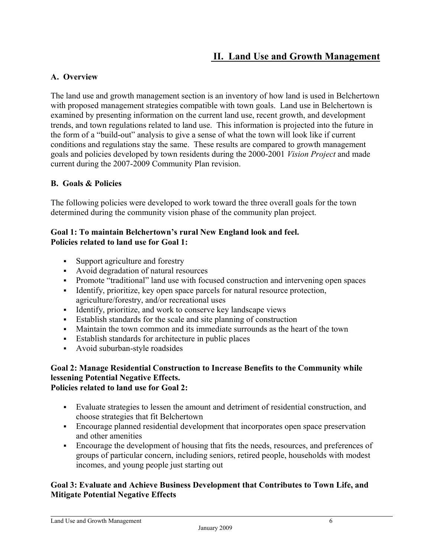# **II. Land Use and Growth Management**

## **A. Overview**

The land use and growth management section is an inventory of how land is used in Belchertown with proposed management strategies compatible with town goals. Land use in Belchertown is examined by presenting information on the current land use, recent growth, and development trends, and town regulations related to land use. This information is projected into the future in the form of a "build-out" analysis to give a sense of what the town will look like if current conditions and regulations stay the same. These results are compared to growth management goals and policies developed by town residents during the 2000-2001 *Vision Project* and made current during the 2007-2009 Community Plan revision.

## **B. Goals & Policies**

The following policies were developed to work toward the three overall goals for the town determined during the community vision phase of the community plan project.

#### **Goal 1: To maintain Belchertown's rural New England look and feel. Policies related to land use for Goal 1:**

- Support agriculture and forestry
- Avoid degradation of natural resources
- Promote "traditional" land use with focused construction and intervening open spaces
- Identify, prioritize, key open space parcels for natural resource protection, agriculture/forestry, and/or recreational uses
- Identify, prioritize, and work to conserve key landscape views
- Establish standards for the scale and site planning of construction
- Maintain the town common and its immediate surrounds as the heart of the town
- Establish standards for architecture in public places
- Avoid suburban-style roadsides

# **Goal 2: Manage Residential Construction to Increase Benefits to the Community while lessening Potential Negative Effects.**

**Policies related to land use for Goal 2:** 

- Evaluate strategies to lessen the amount and detriment of residential construction, and choose strategies that fit Belchertown
- Encourage planned residential development that incorporates open space preservation and other amenities
- Encourage the development of housing that fits the needs, resources, and preferences of groups of particular concern, including seniors, retired people, households with modest incomes, and young people just starting out

## **Goal 3: Evaluate and Achieve Business Development that Contributes to Town Life, and Mitigate Potential Negative Effects**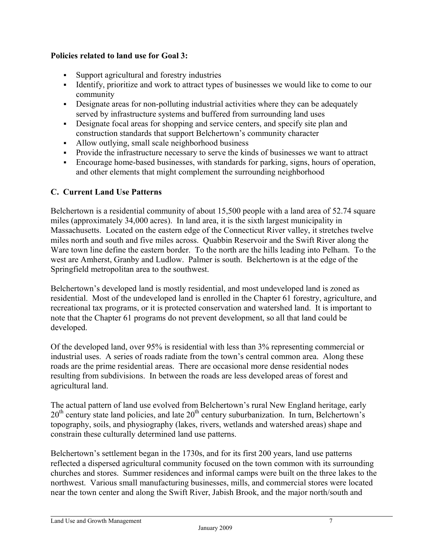## **Policies related to land use for Goal 3:**

- Support agricultural and forestry industries
- Identify, prioritize and work to attract types of businesses we would like to come to our community
- Designate areas for non-polluting industrial activities where they can be adequately served by infrastructure systems and buffered from surrounding land uses
- Designate focal areas for shopping and service centers, and specify site plan and construction standards that support Belchertown's community character
- Allow outlying, small scale neighborhood business
- Provide the infrastructure necessary to serve the kinds of businesses we want to attract
- Encourage home-based businesses, with standards for parking, signs, hours of operation, and other elements that might complement the surrounding neighborhood

#### **C. Current Land Use Patterns**

Belchertown is a residential community of about 15,500 people with a land area of 52.74 square miles (approximately 34,000 acres). In land area, it is the sixth largest municipality in Massachusetts. Located on the eastern edge of the Connecticut River valley, it stretches twelve miles north and south and five miles across. Quabbin Reservoir and the Swift River along the Ware town line define the eastern border. To the north are the hills leading into Pelham. To the west are Amherst, Granby and Ludlow. Palmer is south. Belchertown is at the edge of the Springfield metropolitan area to the southwest.

Belchertown's developed land is mostly residential, and most undeveloped land is zoned as residential. Most of the undeveloped land is enrolled in the Chapter 61 forestry, agriculture, and recreational tax programs, or it is protected conservation and watershed land. It is important to note that the Chapter 61 programs do not prevent development, so all that land could be developed.

Of the developed land, over 95% is residential with less than 3% representing commercial or industrial uses. A series of roads radiate from the town's central common area. Along these roads are the prime residential areas. There are occasional more dense residential nodes resulting from subdivisions. In between the roads are less developed areas of forest and agricultural land.

The actual pattern of land use evolved from Belchertown's rural New England heritage, early  $20<sup>th</sup>$  century state land policies, and late  $20<sup>th</sup>$  century suburbanization. In turn, Belchertown's topography, soils, and physiography (lakes, rivers, wetlands and watershed areas) shape and constrain these culturally determined land use patterns.

Belchertown's settlement began in the 1730s, and for its first 200 years, land use patterns reflected a dispersed agricultural community focused on the town common with its surrounding churches and stores. Summer residences and informal camps were built on the three lakes to the northwest. Various small manufacturing businesses, mills, and commercial stores were located near the town center and along the Swift River, Jabish Brook, and the major north/south and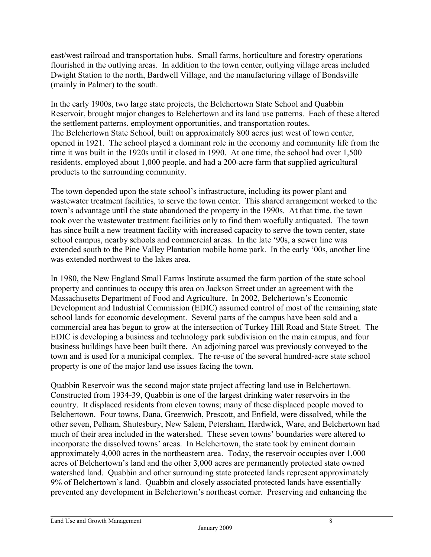east/west railroad and transportation hubs. Small farms, horticulture and forestry operations flourished in the outlying areas. In addition to the town center, outlying village areas included Dwight Station to the north, Bardwell Village, and the manufacturing village of Bondsville (mainly in Palmer) to the south.

In the early 1900s, two large state projects, the Belchertown State School and Quabbin Reservoir, brought major changes to Belchertown and its land use patterns. Each of these altered the settlement patterns, employment opportunities, and transportation routes. The Belchertown State School, built on approximately 800 acres just west of town center, opened in 1921. The school played a dominant role in the economy and community life from the time it was built in the 1920s until it closed in 1990. At one time, the school had over 1,500 residents, employed about 1,000 people, and had a 200-acre farm that supplied agricultural products to the surrounding community.

The town depended upon the state school's infrastructure, including its power plant and wastewater treatment facilities, to serve the town center. This shared arrangement worked to the town's advantage until the state abandoned the property in the 1990s. At that time, the town took over the wastewater treatment facilities only to find them woefully antiquated. The town has since built a new treatment facility with increased capacity to serve the town center, state school campus, nearby schools and commercial areas. In the late '90s, a sewer line was extended south to the Pine Valley Plantation mobile home park. In the early '00s, another line was extended northwest to the lakes area.

In 1980, the New England Small Farms Institute assumed the farm portion of the state school property and continues to occupy this area on Jackson Street under an agreement with the Massachusetts Department of Food and Agriculture. In 2002, Belchertown's Economic Development and Industrial Commission (EDIC) assumed control of most of the remaining state school lands for economic development. Several parts of the campus have been sold and a commercial area has begun to grow at the intersection of Turkey Hill Road and State Street. The EDIC is developing a business and technology park subdivision on the main campus, and four business buildings have been built there. An adjoining parcel was previously conveyed to the town and is used for a municipal complex. The re-use of the several hundred-acre state school property is one of the major land use issues facing the town.

Quabbin Reservoir was the second major state project affecting land use in Belchertown. Constructed from 1934-39, Quabbin is one of the largest drinking water reservoirs in the country. It displaced residents from eleven towns; many of these displaced people moved to Belchertown. Four towns, Dana, Greenwich, Prescott, and Enfield, were dissolved, while the other seven, Pelham, Shutesbury, New Salem, Petersham, Hardwick, Ware, and Belchertown had much of their area included in the watershed. These seven towns' boundaries were altered to incorporate the dissolved towns' areas. In Belchertown, the state took by eminent domain approximately 4,000 acres in the northeastern area. Today, the reservoir occupies over 1,000 acres of Belchertown's land and the other 3,000 acres are permanently protected state owned watershed land. Quabbin and other surrounding state protected lands represent approximately 9% of Belchertown's land. Quabbin and closely associated protected lands have essentially prevented any development in Belchertown's northeast corner. Preserving and enhancing the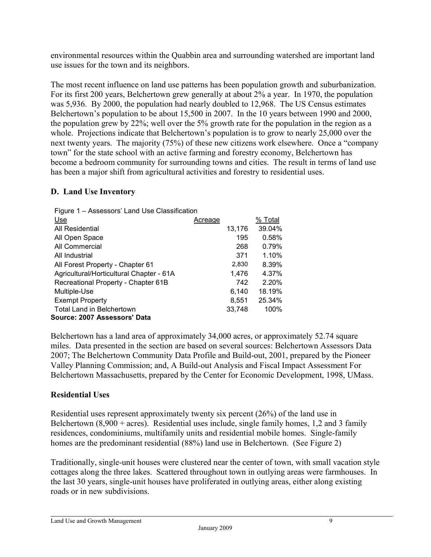environmental resources within the Quabbin area and surrounding watershed are important land use issues for the town and its neighbors.

The most recent influence on land use patterns has been population growth and suburbanization. For its first 200 years, Belchertown grew generally at about 2% a year. In 1970, the population was 5,936. By 2000, the population had nearly doubled to 12,968. The US Census estimates Belchertown's population to be about 15,500 in 2007. In the 10 years between 1990 and 2000, the population grew by 22%; well over the 5% growth rate for the population in the region as a whole. Projections indicate that Belchertown's population is to grow to nearly 25,000 over the next twenty years. The majority (75%) of these new citizens work elsewhere. Once a "company town" for the state school with an active farming and forestry economy, Belchertown has become a bedroom community for surrounding towns and cities. The result in terms of land use has been a major shift from agricultural activities and forestry to residential uses.

## **D. Land Use Inventory**

| Figure 1 - Assessors' Land Use Classification |         |        |         |
|-----------------------------------------------|---------|--------|---------|
| Use                                           | Acreage |        | % Total |
| All Residential                               |         | 13,176 | 39.04%  |
| All Open Space                                |         | 195    | 0.58%   |
| All Commercial                                |         | 268    | 0.79%   |
| All Industrial                                |         | 371    | 1.10%   |
| All Forest Property - Chapter 61              |         | 2,830  | 8.39%   |
| Agricultural/Horticultural Chapter - 61A      |         | 1,476  | 4.37%   |
| Recreational Property - Chapter 61B           |         | 742    | 2.20%   |
| Multiple-Use                                  |         | 6.140  | 18.19%  |
| <b>Exempt Property</b>                        |         | 8.551  | 25.34%  |
| Total Land in Belchertown                     |         | 33.748 | 100%    |
| Source: 2007 Assessors' Data                  |         |        |         |

Belchertown has a land area of approximately 34,000 acres, or approximately 52.74 square miles. Data presented in the section are based on several sources: Belchertown Assessors Data 2007; The Belchertown Community Data Profile and Build-out, 2001, prepared by the Pioneer Valley Planning Commission; and, A Build-out Analysis and Fiscal Impact Assessment For Belchertown Massachusetts, prepared by the Center for Economic Development, 1998, UMass.

# **Residential Uses**

Residential uses represent approximately twenty six percent (26%) of the land use in Belchertown  $(8,900 + \text{acres})$ . Residential uses include, single family homes, 1,2 and 3 family residences, condominiums, multifamily units and residential mobile homes. Single-family homes are the predominant residential (88%) land use in Belchertown. (See Figure 2)

Traditionally, single-unit houses were clustered near the center of town, with small vacation style cottages along the three lakes. Scattered throughout town in outlying areas were farmhouses. In the last 30 years, single-unit houses have proliferated in outlying areas, either along existing roads or in new subdivisions.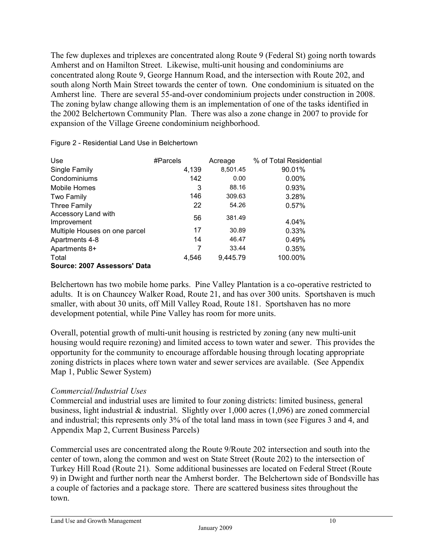The few duplexes and triplexes are concentrated along Route 9 (Federal St) going north towards Amherst and on Hamilton Street. Likewise, multi-unit housing and condominiums are concentrated along Route 9, George Hannum Road, and the intersection with Route 202, and south along North Main Street towards the center of town. One condominium is situated on the Amherst line. There are several 55-and-over condominium projects under construction in 2008. The zoning bylaw change allowing them is an implementation of one of the tasks identified in the 2002 Belchertown Community Plan. There was also a zone change in 2007 to provide for expansion of the Village Greene condominium neighborhood.

| Use                                | #Parcels | Acreage  | % of Total Residential |
|------------------------------------|----------|----------|------------------------|
| Single Family                      | 4,139    | 8,501.45 | 90.01%                 |
| Condominiums                       | 142      | 0.00     | $0.00\%$               |
| Mobile Homes                       | 3        | 88.16    | 0.93%                  |
| Two Family                         | 146      | 309.63   | 3.28%                  |
| <b>Three Family</b>                | 22       | 54.26    | 0.57%                  |
| Accessory Land with<br>Improvement | 56       | 381.49   | 4.04%                  |
| Multiple Houses on one parcel      | 17       | 30.89    | 0.33%                  |
| Apartments 4-8                     | 14       | 46.47    | 0.49%                  |
| Apartments 8+                      | 7        | 33.44    | 0.35%                  |
| Total                              | 4,546    | 9,445.79 | 100.00%                |
| Source: 2007 Assessors' Data       |          |          |                        |

Figure 2 - Residential Land Use in Belchertown

Belchertown has two mobile home parks. Pine Valley Plantation is a co-operative restricted to adults. It is on Chauncey Walker Road, Route 21, and has over 300 units. Sportshaven is much smaller, with about 30 units, off Mill Valley Road, Route 181. Sportshaven has no more development potential, while Pine Valley has room for more units.

Overall, potential growth of multi-unit housing is restricted by zoning (any new multi-unit housing would require rezoning) and limited access to town water and sewer. This provides the opportunity for the community to encourage affordable housing through locating appropriate zoning districts in places where town water and sewer services are available. (See Appendix Map 1, Public Sewer System)

## *Commercial/Industrial Uses*

Commercial and industrial uses are limited to four zoning districts: limited business, general business, light industrial & industrial. Slightly over 1,000 acres (1,096) are zoned commercial and industrial; this represents only 3% of the total land mass in town (see Figures 3 and 4, and Appendix Map 2, Current Business Parcels)

Commercial uses are concentrated along the Route 9/Route 202 intersection and south into the center of town, along the common and west on State Street (Route 202) to the intersection of Turkey Hill Road (Route 21). Some additional businesses are located on Federal Street (Route 9) in Dwight and further north near the Amherst border. The Belchertown side of Bondsville has a couple of factories and a package store. There are scattered business sites throughout the town.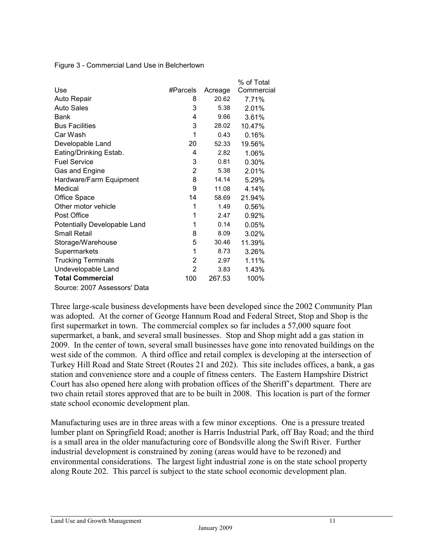Figure 3 - Commercial Land Use in Belchertown

|                              |          |         | % of Total |
|------------------------------|----------|---------|------------|
| Use                          | #Parcels | Acreage | Commercial |
| Auto Repair                  | 8        | 20.62   | 7.71%      |
| <b>Auto Sales</b>            | 3        | 5.38    | 2.01%      |
| Bank                         | 4        | 9.66    | 3.61%      |
| <b>Bus Facilities</b>        | 3        | 28.02   | 10.47%     |
| Car Wash                     | 1        | 0.43    | 0.16%      |
| Developable Land             | 20       | 52.33   | 19.56%     |
| Eating/Drinking Estab.       | 4        | 2.82    | 1.06%      |
| <b>Fuel Service</b>          | 3        | 0.81    | 0.30%      |
| Gas and Engine               | 2        | 5.38    | 2.01%      |
| Hardware/Farm Equipment      | 8        | 14.14   | 5.29%      |
| Medical                      | 9        | 11.08   | 4.14%      |
| Office Space                 | 14       | 58.69   | 21.94%     |
| Other motor vehicle          | 1        | 1.49    | 0.56%      |
| Post Office                  | 1        | 2.47    | 0.92%      |
| Potentially Developable Land | 1        | 0.14    | 0.05%      |
| <b>Small Retail</b>          | 8        | 8.09    | 3.02%      |
| Storage/Warehouse            | 5        | 30.46   | 11.39%     |
| Supermarkets                 | 1        | 8.73    | 3.26%      |
| <b>Trucking Terminals</b>    | 2        | 2.97    | 1.11%      |
| Undevelopable Land           | 2        | 3.83    | 1.43%      |
| <b>Total Commercial</b>      | 100      | 267.53  | 100%       |
| Source: 2007 Assessors' Data |          |         |            |

Three large-scale business developments have been developed since the 2002 Community Plan was adopted. At the corner of George Hannum Road and Federal Street, Stop and Shop is the first supermarket in town. The commercial complex so far includes a 57,000 square foot supermarket, a bank, and several small businesses. Stop and Shop might add a gas station in 2009. In the center of town, several small businesses have gone into renovated buildings on the west side of the common. A third office and retail complex is developing at the intersection of Turkey Hill Road and State Street (Routes 21 and 202). This site includes offices, a bank, a gas station and convenience store and a couple of fitness centers. The Eastern Hampshire District Court has also opened here along with probation offices of the Sheriff's department. There are two chain retail stores approved that are to be built in 2008. This location is part of the former state school economic development plan.

Manufacturing uses are in three areas with a few minor exceptions. One is a pressure treated lumber plant on Springfield Road; another is Harris Industrial Park, off Bay Road; and the third is a small area in the older manufacturing core of Bondsville along the Swift River. Further industrial development is constrained by zoning (areas would have to be rezoned) and environmental considerations. The largest light industrial zone is on the state school property along Route 202. This parcel is subject to the state school economic development plan.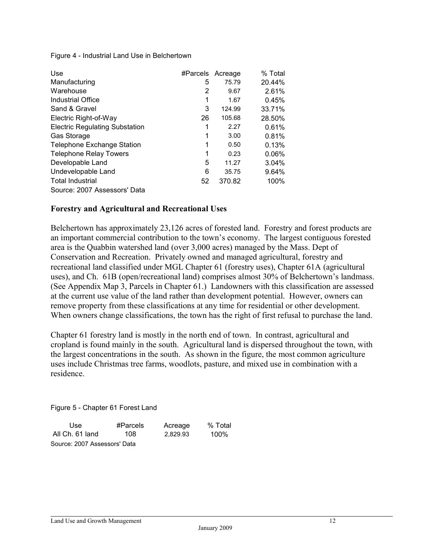Figure 4 - Industrial Land Use in Belchertown

| Use                                   | #Parcels Acreage |        | % Total  |
|---------------------------------------|------------------|--------|----------|
| Manufacturing                         | 5                | 75.79  | 20.44%   |
| Warehouse                             | 2                | 9.67   | 2.61%    |
| Industrial Office                     | 1                | 1.67   | 0.45%    |
| Sand & Gravel                         | 3                | 124.99 | 33.71%   |
| Electric Right-of-Way                 | 26               | 105.68 | 28.50%   |
| <b>Electric Regulating Substation</b> | 1                | 2.27   | 0.61%    |
| Gas Storage                           | 1                | 3.00   | 0.81%    |
| <b>Telephone Exchange Station</b>     | 1                | 0.50   | 0.13%    |
| <b>Telephone Relay Towers</b>         | 1                | 0.23   | $0.06\%$ |
| Developable Land                      | 5                | 11.27  | 3.04%    |
| Undevelopable Land                    | 6                | 35.75  | 9.64%    |
| <b>Total Industrial</b>               | 52               | 370.82 | 100%     |
| Source: 2007 Assessors' Data          |                  |        |          |

#### **Forestry and Agricultural and Recreational Uses**

Belchertown has approximately 23,126 acres of forested land. Forestry and forest products are an important commercial contribution to the town's economy. The largest contiguous forested area is the Quabbin watershed land (over 3,000 acres) managed by the Mass. Dept of Conservation and Recreation. Privately owned and managed agricultural, forestry and recreational land classified under MGL Chapter 61 (forestry uses), Chapter 61A (agricultural uses), and Ch. 61B (open/recreational land) comprises almost 30% of Belchertown's landmass. (See Appendix Map 3, Parcels in Chapter 61.) Landowners with this classification are assessed at the current use value of the land rather than development potential. However, owners can remove property from these classifications at any time for residential or other development. When owners change classifications, the town has the right of first refusal to purchase the land.

Chapter 61 forestry land is mostly in the north end of town. In contrast, agricultural and cropland is found mainly in the south. Agricultural land is dispersed throughout the town, with the largest concentrations in the south. As shown in the figure, the most common agriculture uses include Christmas tree farms, woodlots, pasture, and mixed use in combination with a residence.

Figure 5 - Chapter 61 Forest Land

| Use                          | #Parcels | Acreage  | % Total |
|------------------------------|----------|----------|---------|
| All Ch. 61 land              | 108      | 2.829.93 | 100%    |
| Source: 2007 Assessors' Data |          |          |         |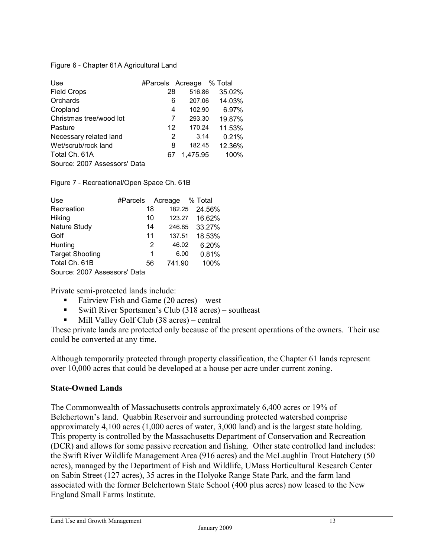#### Figure 6 - Chapter 61A Agricultural Land

| Use                          | #Parcels Acreage |          | % Total |
|------------------------------|------------------|----------|---------|
| <b>Field Crops</b>           | 28               | 516.86   | 35.02%  |
| Orchards                     | 6                | 207.06   | 14.03%  |
| Cropland                     | 4                | 102.90   | 6.97%   |
| Christmas tree/wood lot      | 7                | 293.30   | 19.87%  |
| Pasture                      | 12               | 170.24   | 11.53%  |
| Necessary related land       | 2                | 3.14     | 0.21%   |
| Wet/scrub/rock land          | 8                | 182.45   | 12.36%  |
| Total Ch. 61A                | 67               | 1,475.95 | 100%    |
| Source: 2007 Assessors' Data |                  |          |         |

Figure 7 - Recreational/Open Space Ch. 61B

| Use                          | #Parcels | Acreage    | % Total |
|------------------------------|----------|------------|---------|
| Recreation                   | 18       | 182.25     | 24.56%  |
| Hiking                       | 10       | 123.27     | 16.62%  |
| Nature Study                 | 14       | 246.85     | 33.27%  |
| Golf                         | 11       | 137.51     | 18.53%  |
| Hunting                      |          | 2<br>46.02 | 6.20%   |
| <b>Target Shooting</b>       |          | 6.00<br>1  | 0.81%   |
| Total Ch. 61B                | 56       | 741.90     | 100%    |
| Source: 2007 Assessors' Data |          |            |         |

Private semi-protected lands include:

- Fairview Fish and Game (20 acres) west
- Swift River Sportsmen's Club (318 acres) southeast
- Mill Valley Golf Club (38 acres) central

These private lands are protected only because of the present operations of the owners. Their use could be converted at any time.

Although temporarily protected through property classification, the Chapter 61 lands represent over 10,000 acres that could be developed at a house per acre under current zoning.

#### **State-Owned Lands**

The Commonwealth of Massachusetts controls approximately 6,400 acres or 19% of Belchertown's land. Quabbin Reservoir and surrounding protected watershed comprise approximately 4,100 acres (1,000 acres of water, 3,000 land) and is the largest state holding. This property is controlled by the Massachusetts Department of Conservation and Recreation (DCR) and allows for some passive recreation and fishing. Other state controlled land includes: the Swift River Wildlife Management Area (916 acres) and the McLaughlin Trout Hatchery (50 acres), managed by the Department of Fish and Wildlife, UMass Horticultural Research Center on Sabin Street (127 acres), 35 acres in the Holyoke Range State Park, and the farm land associated with the former Belchertown State School (400 plus acres) now leased to the New England Small Farms Institute.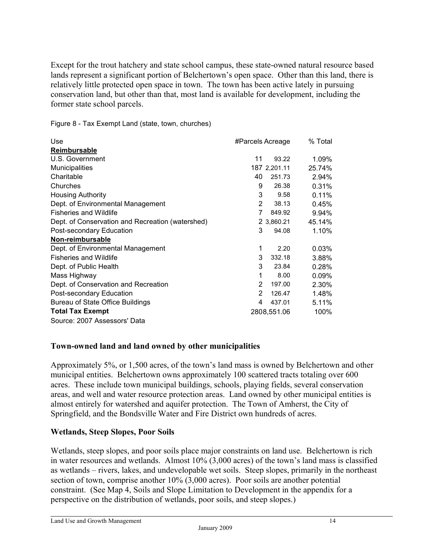Except for the trout hatchery and state school campus, these state-owned natural resource based lands represent a significant portion of Belchertown's open space. Other than this land, there is relatively little protected open space in town. The town has been active lately in pursuing conservation land, but other than that, most land is available for development, including the former state school parcels.

Figure 8 - Tax Exempt Land (state, town, churches)

| Use                                              | #Parcels Acreage |              | % Total  |
|--------------------------------------------------|------------------|--------------|----------|
| Reimbursable                                     |                  |              |          |
| U.S. Government                                  | 11               | 93.22        | 1.09%    |
| <b>Municipalities</b>                            |                  | 187 2,201.11 | 25.74%   |
| Charitable                                       | 40               | 251.73       | 2.94%    |
| Churches                                         | 9                | 26.38        | 0.31%    |
| <b>Housing Authority</b>                         | 3                | 9.58         | 0.11%    |
| Dept. of Environmental Management                | 2                | 38.13        | 0.45%    |
| <b>Fisheries and Wildlife</b>                    | 7                | 849.92       | 9.94%    |
| Dept. of Conservation and Recreation (watershed) |                  | 2 3,860.21   | 45.14%   |
| Post-secondary Education                         | 3                | 94.08        | 1.10%    |
| Non-reimbursable                                 |                  |              |          |
| Dept. of Environmental Management                | 1                | 2.20         | $0.03\%$ |
| <b>Fisheries and Wildlife</b>                    | 3                | 332.18       | 3.88%    |
| Dept. of Public Health                           | 3                | 23.84        | 0.28%    |
| Mass Highway                                     | 1                | 8.00         | 0.09%    |
| Dept. of Conservation and Recreation             | 2                | 197.00       | 2.30%    |
| Post-secondary Education                         | 2                | 126.47       | 1.48%    |
| Bureau of State Office Buildings                 | 4                | 437.01       | 5.11%    |
| <b>Total Tax Exempt</b>                          |                  | 2808,551.06  | 100%     |
| Source: 2007 Assessors' Data                     |                  |              |          |

## **Town-owned land and land owned by other municipalities**

Approximately 5%, or 1,500 acres, of the town's land mass is owned by Belchertown and other municipal entities. Belchertown owns approximately 100 scattered tracts totaling over 600 acres. These include town municipal buildings, schools, playing fields, several conservation areas, and well and water resource protection areas. Land owned by other municipal entities is almost entirely for watershed and aquifer protection. The Town of Amherst, the City of Springfield, and the Bondsville Water and Fire District own hundreds of acres.

#### **Wetlands, Steep Slopes, Poor Soils**

Wetlands, steep slopes, and poor soils place major constraints on land use. Belchertown is rich in water resources and wetlands. Almost 10% (3,000 acres) of the town's land mass is classified as wetlands – rivers, lakes, and undevelopable wet soils. Steep slopes, primarily in the northeast section of town, comprise another 10% (3,000 acres). Poor soils are another potential constraint. (See Map 4, Soils and Slope Limitation to Development in the appendix for a perspective on the distribution of wetlands, poor soils, and steep slopes.)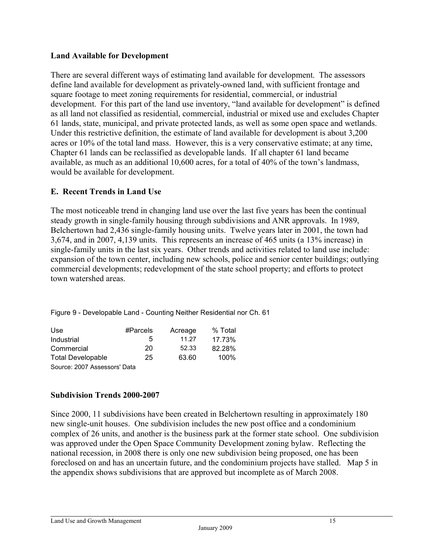#### **Land Available for Development**

There are several different ways of estimating land available for development. The assessors define land available for development as privately-owned land, with sufficient frontage and square footage to meet zoning requirements for residential, commercial, or industrial development. For this part of the land use inventory, "land available for development" is defined as all land not classified as residential, commercial, industrial or mixed use and excludes Chapter 61 lands, state, municipal, and private protected lands, as well as some open space and wetlands. Under this restrictive definition, the estimate of land available for development is about 3,200 acres or 10% of the total land mass. However, this is a very conservative estimate; at any time, Chapter 61 lands can be reclassified as developable lands. If all chapter 61 land became available, as much as an additional 10,600 acres, for a total of 40% of the town's landmass, would be available for development.

# **E. Recent Trends in Land Use**

The most noticeable trend in changing land use over the last five years has been the continual steady growth in single-family housing through subdivisions and ANR approvals. In 1989, Belchertown had 2,436 single-family housing units. Twelve years later in 2001, the town had 3,674, and in 2007, 4,139 units. This represents an increase of 465 units (a 13% increase) in single-family units in the last six years. Other trends and activities related to land use include: expansion of the town center, including new schools, police and senior center buildings; outlying commercial developments; redevelopment of the state school property; and efforts to protect town watershed areas.

Figure 9 - Developable Land - Counting Neither Residential nor Ch. 61

| Use.                         | #Parcels | Acreage | % Total |
|------------------------------|----------|---------|---------|
| Industrial                   | 5        | 11.27   | 17.73%  |
| Commercial                   | 20       | 52.33   | 82.28%  |
| <b>Total Developable</b>     | 25       | 63.60   | 100%    |
| Source: 2007 Assessors' Data |          |         |         |

## **Subdivision Trends 2000-2007**

Since 2000, 11 subdivisions have been created in Belchertown resulting in approximately 180 new single-unit houses. One subdivision includes the new post office and a condominium complex of 26 units, and another is the business park at the former state school. One subdivision was approved under the Open Space Community Development zoning bylaw. Reflecting the national recession, in 2008 there is only one new subdivision being proposed, one has been foreclosed on and has an uncertain future, and the condominium projects have stalled. Map 5 in the appendix shows subdivisions that are approved but incomplete as of March 2008.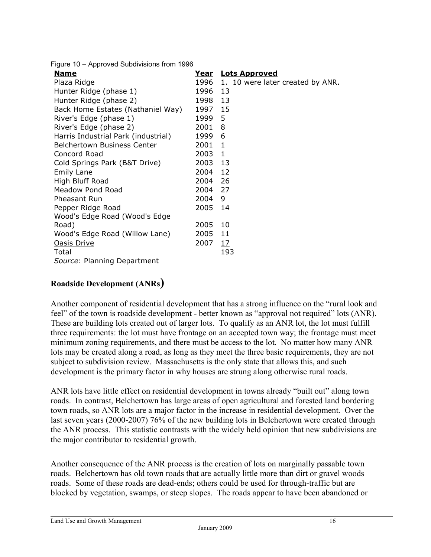Figure 10 – Approved Subdivisions from 1996

| Name                                | <u>Year</u> | <b>Lots Approved</b>             |
|-------------------------------------|-------------|----------------------------------|
| Plaza Ridge                         | 1996        | 1. 10 were later created by ANR. |
| Hunter Ridge (phase 1)              | 1996        | 13                               |
| Hunter Ridge (phase 2)              | 1998 13     |                                  |
| Back Home Estates (Nathaniel Way)   | 1997 15     |                                  |
| River's Edge (phase 1)              | 1999        | 5                                |
| River's Edge (phase 2)              | 2001        | 8                                |
| Harris Industrial Park (industrial) | 1999        | 6                                |
| <b>Belchertown Business Center</b>  | 2001        | $\mathbf{1}$                     |
| Concord Road                        | 2003        | 1                                |
| Cold Springs Park (B&T Drive)       | 2003        | 13                               |
| <b>Emily Lane</b>                   | 2004        | 12                               |
| High Bluff Road                     | 2004        | 26                               |
| <b>Meadow Pond Road</b>             | 2004        | 27                               |
| Pheasant Run                        | 2004        | 9                                |
| Pepper Ridge Road                   | 2005        | 14                               |
| Wood's Edge Road (Wood's Edge       |             |                                  |
| Road)                               | 2005        | 10                               |
| Wood's Edge Road (Willow Lane)      | 2005        | 11                               |
| <b>Oasis Drive</b>                  | 2007        | $\overline{17}$                  |
| Total                               |             | 193                              |
| Source: Planning Department         |             |                                  |

# **Roadside Development (ANRs)**

Another component of residential development that has a strong influence on the "rural look and feel" of the town is roadside development - better known as "approval not required" lots (ANR). These are building lots created out of larger lots. To qualify as an ANR lot, the lot must fulfill three requirements: the lot must have frontage on an accepted town way; the frontage must meet minimum zoning requirements, and there must be access to the lot. No matter how many ANR lots may be created along a road, as long as they meet the three basic requirements, they are not subject to subdivision review. Massachusetts is the only state that allows this, and such development is the primary factor in why houses are strung along otherwise rural roads.

ANR lots have little effect on residential development in towns already "built out" along town roads. In contrast, Belchertown has large areas of open agricultural and forested land bordering town roads, so ANR lots are a major factor in the increase in residential development. Over the last seven years (2000-2007) 76% of the new building lots in Belchertown were created through the ANR process. This statistic contrasts with the widely held opinion that new subdivisions are the major contributor to residential growth.

Another consequence of the ANR process is the creation of lots on marginally passable town roads. Belchertown has old town roads that are actually little more than dirt or gravel woods roads. Some of these roads are dead-ends; others could be used for through-traffic but are blocked by vegetation, swamps, or steep slopes. The roads appear to have been abandoned or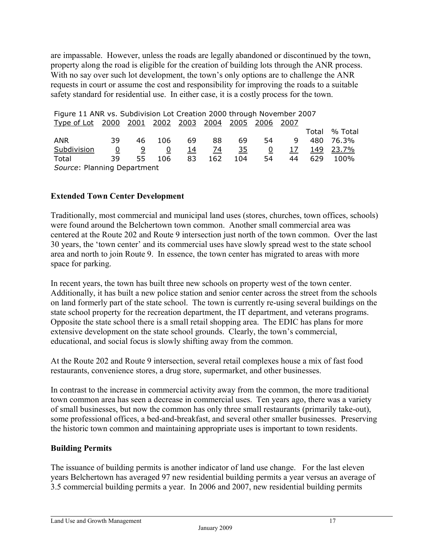are impassable. However, unless the roads are legally abandoned or discontinued by the town, property along the road is eligible for the creation of building lots through the ANR process. With no say over such lot development, the town's only options are to challenge the ANR requests in court or assume the cost and responsibility for improving the roads to a suitable safety standard for residential use. In either case, it is a costly process for the town.

| Figure 11 ANR vs. Subdivision Lot Creation 2000 through November 2007 |          |     |                |            |     |           |    |            |             |         |
|-----------------------------------------------------------------------|----------|-----|----------------|------------|-----|-----------|----|------------|-------------|---------|
| <u>Type of Lot 2000 2001 2002 2003 2004</u>                           |          |     |                |            |     | 2005 2006 |    | 2007       |             |         |
|                                                                       |          |     |                |            |     |           |    |            | Total       | % Total |
| <b>ANR</b>                                                            | -39      | 46  | 106            | 69         | 88  | 69        | 54 | 9          | 480         | 76.3%   |
| Subdivision                                                           | <u>0</u> | 9   | $\overline{0}$ | <u> 14</u> | 74  | <u>35</u> | 0  | <u> 17</u> | <u> 149</u> | 23.7%   |
| Total                                                                 | 39       | 55. | 106            | 83         | 162 | 104       | 54 | 44         | 629         | 100%    |
| Source: Planning Department                                           |          |     |                |            |     |           |    |            |             |         |

#### **Extended Town Center Development**

Traditionally, most commercial and municipal land uses (stores, churches, town offices, schools) were found around the Belchertown town common. Another small commercial area was centered at the Route 202 and Route 9 intersection just north of the town common. Over the last 30 years, the 'town center' and its commercial uses have slowly spread west to the state school area and north to join Route 9. In essence, the town center has migrated to areas with more space for parking.

In recent years, the town has built three new schools on property west of the town center. Additionally, it has built a new police station and senior center across the street from the schools on land formerly part of the state school. The town is currently re-using several buildings on the state school property for the recreation department, the IT department, and veterans programs. Opposite the state school there is a small retail shopping area. The EDIC has plans for more extensive development on the state school grounds. Clearly, the town's commercial, educational, and social focus is slowly shifting away from the common.

At the Route 202 and Route 9 intersection, several retail complexes house a mix of fast food restaurants, convenience stores, a drug store, supermarket, and other businesses.

In contrast to the increase in commercial activity away from the common, the more traditional town common area has seen a decrease in commercial uses. Ten years ago, there was a variety of small businesses, but now the common has only three small restaurants (primarily take-out), some professional offices, a bed-and-breakfast, and several other smaller businesses. Preserving the historic town common and maintaining appropriate uses is important to town residents.

#### **Building Permits**

The issuance of building permits is another indicator of land use change. For the last eleven years Belchertown has averaged 97 new residential building permits a year versus an average of 3.5 commercial building permits a year. In 2006 and 2007, new residential building permits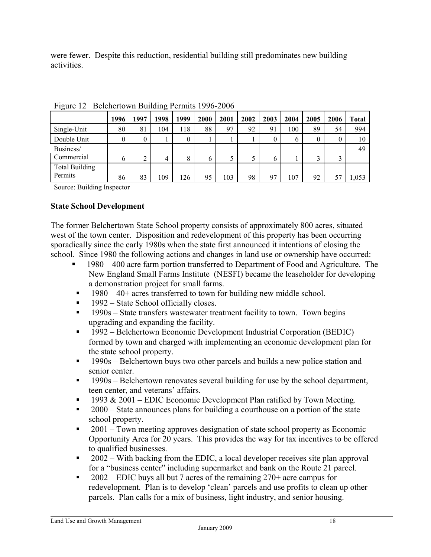were fewer. Despite this reduction, residential building still predominates new building activities.

| $\tilde{\phantom{a}}$            |      |        |      |      |      |      |      |      |      |      |      |              |
|----------------------------------|------|--------|------|------|------|------|------|------|------|------|------|--------------|
|                                  | 1996 | 1997   | 1998 | 1999 | 2000 | 2001 | 2002 | 2003 | 2004 | 2005 | 2006 | <b>Total</b> |
| Single-Unit                      | 80   | 81     | 104  | 118  | 88   | 97   | 92   | 91   | 100  | 89   | 54   | 994          |
| Double Unit                      |      | 0      |      | 0    |      |      |      |      | 6    |      | 0    | 10           |
| Business/<br>Commercial          | b    | ◠<br>∠ | 4    | 8    | 6    |      |      | b    |      |      | 3    | 49           |
| <b>Total Building</b><br>Permits | 86   | 83     | 109  | 126  | 95   | 103  | 98   | 97   | 107  | 92   | 57   | 1,053        |

Figure 12 Belchertown Building Permits 1996-2006

Source: Building Inspector

#### **State School Development**

The former Belchertown State School property consists of approximately 800 acres, situated west of the town center. Disposition and redevelopment of this property has been occurring sporadically since the early 1980s when the state first announced it intentions of closing the school. Since 1980 the following actions and changes in land use or ownership have occurred:

- 1980 400 acre farm portion transferred to Department of Food and Agriculture. The New England Small Farms Institute (NESFI) became the leaseholder for developing a demonstration project for small farms.
- $1980 40 +$  acres transferred to town for building new middle school.
- $\blacksquare$  1992 State School officially closes.
- $\blacksquare$  1990s State transfers wastewater treatment facility to town. Town begins upgrading and expanding the facility.
- 1992 Belchertown Economic Development Industrial Corporation (BEDIC) formed by town and charged with implementing an economic development plan for the state school property.
- $\blacksquare$  1990s Belchertown buys two other parcels and builds a new police station and senior center.
- 1990s Belchertown renovates several building for use by the school department, teen center, and veterans' affairs.
- $\blacksquare$  1993 & 2001 EDIC Economic Development Plan ratified by Town Meeting.
- 2000 State announces plans for building a courthouse on a portion of the state school property.
- <sup>2001</sup> Town meeting approves designation of state school property as Economic Opportunity Area for 20 years. This provides the way for tax incentives to be offered to qualified businesses.
- <sup>2002</sup> With backing from the EDIC, a local developer receives site plan approval for a "business center" including supermarket and bank on the Route 21 parcel.
- $\blacksquare$  2002 EDIC buys all but 7 acres of the remaining 270+ acre campus for redevelopment. Plan is to develop 'clean' parcels and use profits to clean up other parcels. Plan calls for a mix of business, light industry, and senior housing.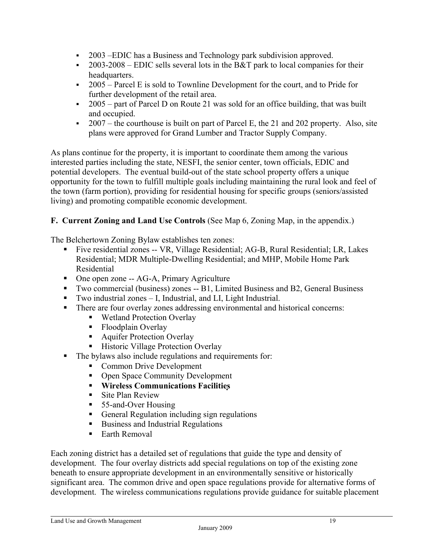- 2003 –EDIC has a Business and Technology park subdivision approved.
- 2003-2008 EDIC sells several lots in the B&T park to local companies for their headquarters.
- $\sim$  2005 Parcel E is sold to Townline Development for the court, and to Pride for further development of the retail area.
- $\sim$  2005 part of Parcel D on Route 21 was sold for an office building, that was built and occupied.
- $\sim 2007$  the courthouse is built on part of Parcel E, the 21 and 202 property. Also, site plans were approved for Grand Lumber and Tractor Supply Company.

As plans continue for the property, it is important to coordinate them among the various interested parties including the state, NESFI, the senior center, town officials, EDIC and potential developers. The eventual build-out of the state school property offers a unique opportunity for the town to fulfill multiple goals including maintaining the rural look and feel of the town (farm portion), providing for residential housing for specific groups (seniors/assisted living) and promoting compatible economic development.

# **F. Current Zoning and Land Use Controls** (See Map 6, Zoning Map, in the appendix.)

The Belchertown Zoning Bylaw establishes ten zones:

- Five residential zones -- VR, Village Residential; AG-B, Rural Residential; LR, Lakes Residential; MDR Multiple-Dwelling Residential; and MHP, Mobile Home Park Residential
- One open zone -- AG-A, Primary Agriculture
- Two commercial (business) zones -- B1, Limited Business and B2, General Business
- Two industrial zones I, Industrial, and LI, Light Industrial.
- There are four overlay zones addressing environmental and historical concerns:
	- Wetland Protection Overlay
	- Floodplain Overlay
	- **Aquifer Protection Overlay**
	- **Historic Village Protection Overlay**
- The bylaws also include regulations and requirements for:
	- **Common Drive Development**
	- Open Space Community Development
	- **Wireless Communications Facilities**
	- $\blacksquare$  Site Plan Review
	- 55-and-Over Housing
	- General Regulation including sign regulations
	- Business and Industrial Regulations
	- Earth Removal

Each zoning district has a detailed set of regulations that guide the type and density of development. The four overlay districts add special regulations on top of the existing zone beneath to ensure appropriate development in an environmentally sensitive or historically significant area. The common drive and open space regulations provide for alternative forms of development. The wireless communications regulations provide guidance for suitable placement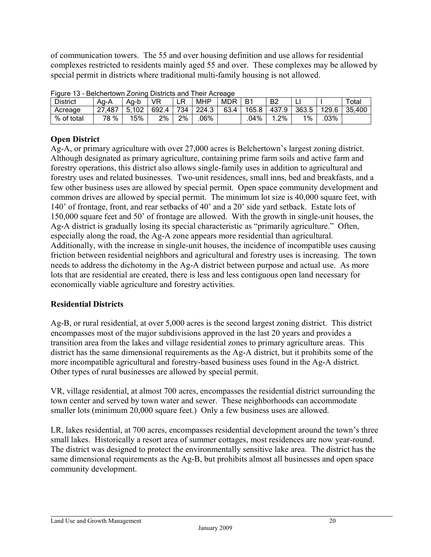of communication towers. The 55 and over housing definition and use allows for residential complexes restricted to residents mainly aged 55 and over. These complexes may be allowed by special permit in districts where traditional multi-family housing is not allowed.

| <b>DOIDING LOWER LOTTING DISCRETE GITG TTION 7 \OI CUGO</b> |        |       |       |     |            |            |           |                |       |       |        |
|-------------------------------------------------------------|--------|-------|-------|-----|------------|------------|-----------|----------------|-------|-------|--------|
| <b>District</b>                                             | Aa-A   | Aa-b  | VR    | LR  | <b>MHP</b> | <b>MDR</b> | <b>B1</b> | B <sub>2</sub> |       |       | Total  |
| Acreage                                                     | 27,487 | 5,102 | 692.4 | 734 | 224.3      | 63.4       | 165.8     | 437.9          | 363.5 | 129.6 | 35,400 |
| % of total                                                  | 78 %   | 15%   | 2%    | 2%  | .06%       |            | 04%       | $.2\%$         | 1%    | .03%  |        |

|  | Figure 13 - Belchertown Zoning Districts and Their Acreage |  |  |  |
|--|------------------------------------------------------------|--|--|--|
|  |                                                            |  |  |  |

# **Open District**

Ag-A, or primary agriculture with over 27,000 acres is Belchertown's largest zoning district. Although designated as primary agriculture, containing prime farm soils and active farm and forestry operations, this district also allows single-family uses in addition to agricultural and forestry uses and related businesses. Two-unit residences, small inns, bed and breakfasts, and a few other business uses are allowed by special permit. Open space community development and common drives are allowed by special permit. The minimum lot size is 40,000 square feet, with 140' of frontage, front, and rear setbacks of 40' and a 20' side yard setback. Estate lots of 150,000 square feet and 50' of frontage are allowed. With the growth in single-unit houses, the Ag-A district is gradually losing its special characteristic as "primarily agriculture." Often, especially along the road, the Ag-A zone appears more residential than agricultural. Additionally, with the increase in single-unit houses, the incidence of incompatible uses causing friction between residential neighbors and agricultural and forestry uses is increasing. The town needs to address the dichotomy in the Ag-A district between purpose and actual use. As more lots that are residential are created, there is less and less contiguous open land necessary for economically viable agriculture and forestry activities.

# **Residential Districts**

Ag-B, or rural residential, at over 5,000 acres is the second largest zoning district. This district encompasses most of the major subdivisions approved in the last 20 years and provides a transition area from the lakes and village residential zones to primary agriculture areas. This district has the same dimensional requirements as the Ag-A district, but it prohibits some of the more incompatible agricultural and forestry-based business uses found in the Ag-A district. Other types of rural businesses are allowed by special permit.

VR, village residential, at almost 700 acres, encompasses the residential district surrounding the town center and served by town water and sewer. These neighborhoods can accommodate smaller lots (minimum 20,000 square feet.) Only a few business uses are allowed.

LR, lakes residential, at 700 acres, encompasses residential development around the town's three small lakes. Historically a resort area of summer cottages, most residences are now year-round. The district was designed to protect the environmentally sensitive lake area. The district has the same dimensional requirements as the Ag-B, but prohibits almost all businesses and open space community development.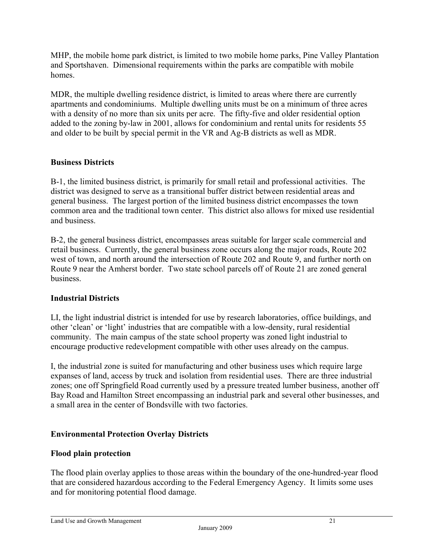MHP, the mobile home park district, is limited to two mobile home parks, Pine Valley Plantation and Sportshaven. Dimensional requirements within the parks are compatible with mobile homes.

MDR, the multiple dwelling residence district, is limited to areas where there are currently apartments and condominiums. Multiple dwelling units must be on a minimum of three acres with a density of no more than six units per acre. The fifty-five and older residential option added to the zoning by-law in 2001, allows for condominium and rental units for residents 55 and older to be built by special permit in the VR and Ag-B districts as well as MDR.

# **Business Districts**

B-1, the limited business district, is primarily for small retail and professional activities. The district was designed to serve as a transitional buffer district between residential areas and general business. The largest portion of the limited business district encompasses the town common area and the traditional town center. This district also allows for mixed use residential and business.

B-2, the general business district, encompasses areas suitable for larger scale commercial and retail business. Currently, the general business zone occurs along the major roads, Route 202 west of town, and north around the intersection of Route 202 and Route 9, and further north on Route 9 near the Amherst border. Two state school parcels off of Route 21 are zoned general business.

## **Industrial Districts**

LI, the light industrial district is intended for use by research laboratories, office buildings, and other 'clean' or 'light' industries that are compatible with a low-density, rural residential community. The main campus of the state school property was zoned light industrial to encourage productive redevelopment compatible with other uses already on the campus.

I, the industrial zone is suited for manufacturing and other business uses which require large expanses of land, access by truck and isolation from residential uses. There are three industrial zones; one off Springfield Road currently used by a pressure treated lumber business, another off Bay Road and Hamilton Street encompassing an industrial park and several other businesses, and a small area in the center of Bondsville with two factories.

## **Environmental Protection Overlay Districts**

## **Flood plain protection**

The flood plain overlay applies to those areas within the boundary of the one-hundred-year flood that are considered hazardous according to the Federal Emergency Agency. It limits some uses and for monitoring potential flood damage.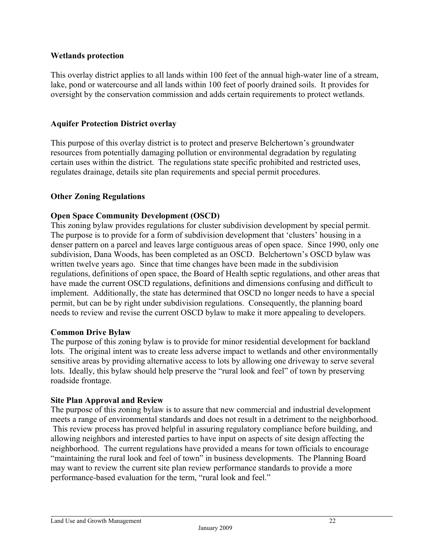#### **Wetlands protection**

This overlay district applies to all lands within 100 feet of the annual high-water line of a stream, lake, pond or watercourse and all lands within 100 feet of poorly drained soils. It provides for oversight by the conservation commission and adds certain requirements to protect wetlands.

#### **Aquifer Protection District overlay**

This purpose of this overlay district is to protect and preserve Belchertown's groundwater resources from potentially damaging pollution or environmental degradation by regulating certain uses within the district. The regulations state specific prohibited and restricted uses, regulates drainage, details site plan requirements and special permit procedures.

#### **Other Zoning Regulations**

#### **Open Space Community Development (OSCD)**

This zoning bylaw provides regulations for cluster subdivision development by special permit. The purpose is to provide for a form of subdivision development that 'clusters' housing in a denser pattern on a parcel and leaves large contiguous areas of open space. Since 1990, only one subdivision, Dana Woods, has been completed as an OSCD. Belchertown's OSCD bylaw was written twelve years ago. Since that time changes have been made in the subdivision regulations, definitions of open space, the Board of Health septic regulations, and other areas that have made the current OSCD regulations, definitions and dimensions confusing and difficult to implement. Additionally, the state has determined that OSCD no longer needs to have a special permit, but can be by right under subdivision regulations. Consequently, the planning board needs to review and revise the current OSCD bylaw to make it more appealing to developers.

#### **Common Drive Bylaw**

The purpose of this zoning bylaw is to provide for minor residential development for backland lots. The original intent was to create less adverse impact to wetlands and other environmentally sensitive areas by providing alternative access to lots by allowing one driveway to serve several lots. Ideally, this bylaw should help preserve the "rural look and feel" of town by preserving roadside frontage.

#### **Site Plan Approval and Review**

The purpose of this zoning bylaw is to assure that new commercial and industrial development meets a range of environmental standards and does not result in a detriment to the neighborhood. This review process has proved helpful in assuring regulatory compliance before building, and allowing neighbors and interested parties to have input on aspects of site design affecting the neighborhood. The current regulations have provided a means for town officials to encourage "maintaining the rural look and feel of town" in business developments. The Planning Board may want to review the current site plan review performance standards to provide a more performance-based evaluation for the term, "rural look and feel."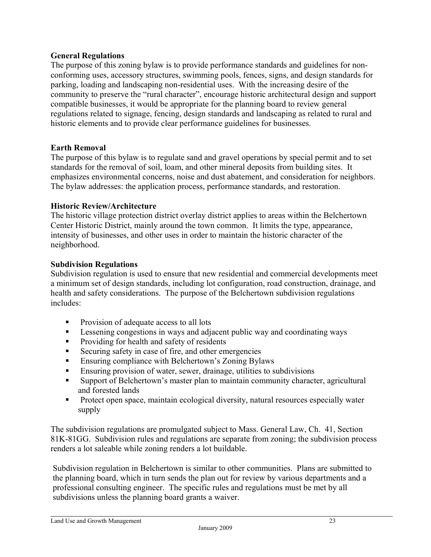#### **General Regulations**

The purpose of this zoning bylaw is to provide performance standards and guidelines for nonconforming uses, accessory structures, swimming pools, fences, signs, and design standards for parking, loading and landscaping non-residential uses. With the increasing desire of the community to preserve the "rural character", encourage historic architectural design and support compatible businesses, it would be appropriate for the planning board to review general regulations related to signage, fencing, design standards and landscaping as related to rural and historic elements and to provide clear performance guidelines for businesses.

#### **Earth Removal**

The purpose of this bylaw is to regulate sand and gravel operations by special permit and to set standards for the removal of soil, loam, and other mineral deposits from building sites. It emphasizes environmental concerns, noise and dust abatement, and consideration for neighbors. The bylaw addresses: the application process, performance standards, and restoration.

#### **Historic Review/Architecture**

The historic village protection district overlay district applies to areas within the Belchertown Center Historic District, mainly around the town common. It limits the type, appearance, intensity of businesses, and other uses in order to maintain the historic character of the neighborhood.

#### **Subdivision Regulations**

Subdivision regulation is used to ensure that new residential and commercial developments meet a minimum set of design standards, including lot configuration, road construction, drainage, and health and safety considerations. The purpose of the Belchertown subdivision regulations includes:

- **Provision of adequate access to all lots**
- **Lessening congestions in ways and adjacent public way and coordinating ways**
- **Providing for health and safety of residents**
- Securing safety in case of fire, and other emergencies
- **Ensuring compliance with Belchertown's Zoning Bylaws**
- Ensuring provision of water, sewer, drainage, utilities to subdivisions
- Support of Belchertown's master plan to maintain community character, agricultural and forested lands
- Protect open space, maintain ecological diversity, natural resources especially water supply

The subdivision regulations are promulgated subject to Mass. General Law, Ch. 41, Section 81K-81GG. Subdivision rules and regulations are separate from zoning; the subdivision process renders a lot saleable while zoning renders a lot buildable.

Subdivision regulation in Belchertown is similar to other communities. Plans are submitted to the planning board, which in turn sends the plan out for review by various departments and a professional consulting engineer. The specific rules and regulations must be met by all subdivisions unless the planning board grants a waiver.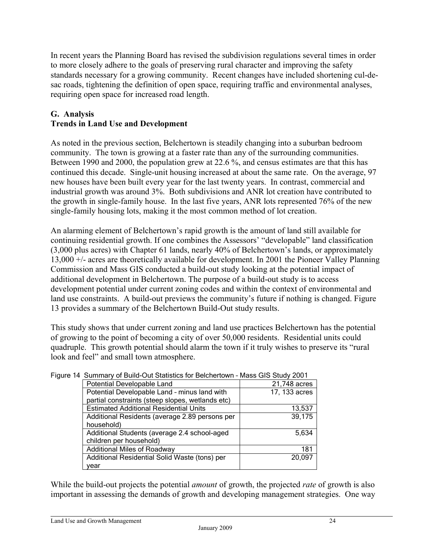In recent years the Planning Board has revised the subdivision regulations several times in order to more closely adhere to the goals of preserving rural character and improving the safety standards necessary for a growing community. Recent changes have included shortening cul-desac roads, tightening the definition of open space, requiring traffic and environmental analyses, requiring open space for increased road length.

# **G. Analysis**

# **Trends in Land Use and Development**

As noted in the previous section, Belchertown is steadily changing into a suburban bedroom community. The town is growing at a faster rate than any of the surrounding communities. Between 1990 and 2000, the population grew at 22.6 %, and census estimates are that this has continued this decade. Single-unit housing increased at about the same rate. On the average, 97 new houses have been built every year for the last twenty years. In contrast, commercial and industrial growth was around 3%. Both subdivisions and ANR lot creation have contributed to the growth in single-family house. In the last five years, ANR lots represented 76% of the new single-family housing lots, making it the most common method of lot creation.

An alarming element of Belchertown's rapid growth is the amount of land still available for continuing residential growth. If one combines the Assessors' "developable" land classification (3,000 plus acres) with Chapter 61 lands, nearly 40% of Belchertown's lands, or approximately 13,000 +/- acres are theoretically available for development. In 2001 the Pioneer Valley Planning Commission and Mass GIS conducted a build-out study looking at the potential impact of additional development in Belchertown. The purpose of a build-out study is to access development potential under current zoning codes and within the context of environmental and land use constraints. A build-out previews the community's future if nothing is changed. Figure 13 provides a summary of the Belchertown Build-Out study results.

This study shows that under current zoning and land use practices Belchertown has the potential of growing to the point of becoming a city of over 50,000 residents. Residential units could quadruple. This growth potential should alarm the town if it truly wishes to preserve its "rural look and feel" and small town atmosphere.

| <u>Udifficity of Balla Oat Olditolics for Bolonottown - Middo Gio Olday 200 i</u> |               |
|-----------------------------------------------------------------------------------|---------------|
| Potential Developable Land                                                        | 21,748 acres  |
| Potential Developable Land - minus land with                                      | 17, 133 acres |
| partial constraints (steep slopes, wetlands etc)                                  |               |
| <b>Estimated Additional Residential Units</b>                                     | 13,537        |
| Additional Residents (average 2.89 persons per                                    | 39,175        |
| household)                                                                        |               |
| Additional Students (average 2.4 school-aged                                      | 5,634         |
| children per household)                                                           |               |
| <b>Additional Miles of Roadway</b>                                                | 181           |
| Additional Residential Solid Waste (tons) per                                     | 20,097        |
| year                                                                              |               |

Figure 14 Summary of Build-Out Statistics for Belchertown – Mass GIS Study 2001

While the build-out projects the potential *amount* of growth, the projected *rate* of growth is also important in assessing the demands of growth and developing management strategies. One way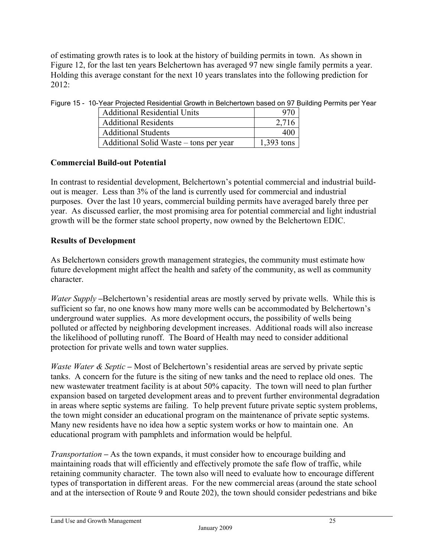of estimating growth rates is to look at the history of building permits in town. As shown in Figure 12, for the last ten years Belchertown has averaged 97 new single family permits a year. Holding this average constant for the next 10 years translates into the following prediction for 2012:

| <b>Additional Residential Units</b>    | 970          |
|----------------------------------------|--------------|
| <b>Additional Residents</b>            | 2.716        |
| <b>Additional Students</b>             | 400          |
| Additional Solid Waste – tons per year | $1,393$ tons |

Figure 15 - 10-Year Projected Residential Growth in Belchertown based on 97 Building Permits per Year

# **Commercial Build-out Potential**

In contrast to residential development, Belchertown's potential commercial and industrial buildout is meager. Less than 3% of the land is currently used for commercial and industrial purposes. Over the last 10 years, commercial building permits have averaged barely three per year. As discussed earlier, the most promising area for potential commercial and light industrial growth will be the former state school property, now owned by the Belchertown EDIC.

# **Results of Development**

As Belchertown considers growth management strategies, the community must estimate how future development might affect the health and safety of the community, as well as community character.

*Water Supply* –Belchertown's residential areas are mostly served by private wells. While this is sufficient so far, no one knows how many more wells can be accommodated by Belchertown's underground water supplies. As more development occurs, the possibility of wells being polluted or affected by neighboring development increases. Additional roads will also increase the likelihood of polluting runoff. The Board of Health may need to consider additional protection for private wells and town water supplies.

*Waste Water & Septic* – Most of Belchertown's residential areas are served by private septic tanks. A concern for the future is the siting of new tanks and the need to replace old ones. The new wastewater treatment facility is at about 50% capacity. The town will need to plan further expansion based on targeted development areas and to prevent further environmental degradation in areas where septic systems are failing. To help prevent future private septic system problems, the town might consider an educational program on the maintenance of private septic systems. Many new residents have no idea how a septic system works or how to maintain one. An educational program with pamphlets and information would be helpful.

*Transportation* **–** As the town expands, it must consider how to encourage building and maintaining roads that will efficiently and effectively promote the safe flow of traffic, while retaining community character. The town also will need to evaluate how to encourage different types of transportation in different areas. For the new commercial areas (around the state school and at the intersection of Route 9 and Route 202), the town should consider pedestrians and bike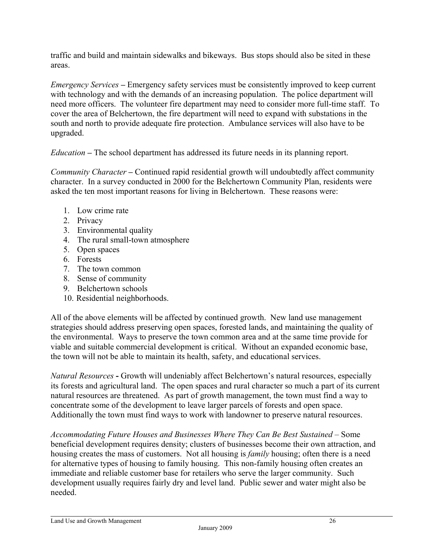traffic and build and maintain sidewalks and bikeways. Bus stops should also be sited in these areas.

*Emergency Services* **–** Emergency safety services must be consistently improved to keep current with technology and with the demands of an increasing population. The police department will need more officers. The volunteer fire department may need to consider more full-time staff. To cover the area of Belchertown, the fire department will need to expand with substations in the south and north to provide adequate fire protection. Ambulance services will also have to be upgraded.

*Education* **–** The school department has addressed its future needs in its planning report.

*Community Character* **–** Continued rapid residential growth will undoubtedly affect community character. In a survey conducted in 2000 for the Belchertown Community Plan, residents were asked the ten most important reasons for living in Belchertown. These reasons were:

- 1. Low crime rate
- 2. Privacy
- 3. Environmental quality
- 4. The rural small-town atmosphere
- 5. Open spaces
- 6. Forests
- 7. The town common
- 8. Sense of community
- 9. Belchertown schools
- 10. Residential neighborhoods.

All of the above elements will be affected by continued growth. New land use management strategies should address preserving open spaces, forested lands, and maintaining the quality of the environmental. Ways to preserve the town common area and at the same time provide for viable and suitable commercial development is critical. Without an expanded economic base, the town will not be able to maintain its health, safety, and educational services.

*Natural Resources* **-** Growth will undeniably affect Belchertown's natural resources, especially its forests and agricultural land. The open spaces and rural character so much a part of its current natural resources are threatened. As part of growth management, the town must find a way to concentrate some of the development to leave larger parcels of forests and open space. Additionally the town must find ways to work with landowner to preserve natural resources.

*Accommodating Future Houses and Businesses Where They Can Be Best Sustained* – Some beneficial development requires density; clusters of businesses become their own attraction, and housing creates the mass of customers. Not all housing is *family* housing; often there is a need for alternative types of housing to family housing. This non-family housing often creates an immediate and reliable customer base for retailers who serve the larger community. Such development usually requires fairly dry and level land. Public sewer and water might also be needed.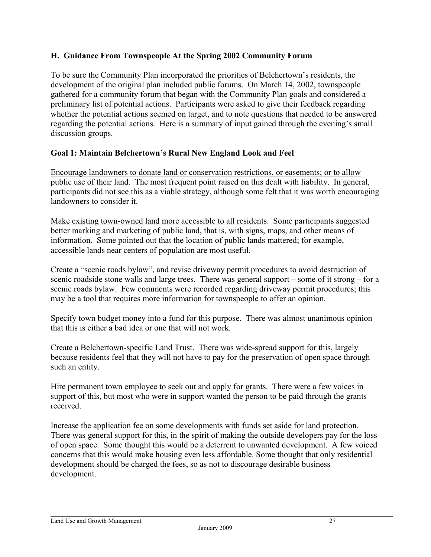## **H. Guidance From Townspeople At the Spring 2002 Community Forum**

To be sure the Community Plan incorporated the priorities of Belchertown's residents, the development of the original plan included public forums. On March 14, 2002, townspeople gathered for a community forum that began with the Community Plan goals and considered a preliminary list of potential actions. Participants were asked to give their feedback regarding whether the potential actions seemed on target, and to note questions that needed to be answered regarding the potential actions. Here is a summary of input gained through the evening's small discussion groups.

# **Goal 1: Maintain Belchertown's Rural New England Look and Feel**

Encourage landowners to donate land or conservation restrictions, or easements; or to allow public use of their land. The most frequent point raised on this dealt with liability. In general, participants did not see this as a viable strategy, although some felt that it was worth encouraging landowners to consider it.

Make existing town-owned land more accessible to all residents. Some participants suggested better marking and marketing of public land, that is, with signs, maps, and other means of information. Some pointed out that the location of public lands mattered; for example, accessible lands near centers of population are most useful.

Create a "scenic roads bylaw", and revise driveway permit procedures to avoid destruction of scenic roadside stone walls and large trees. There was general support – some of it strong – for a scenic roads bylaw. Few comments were recorded regarding driveway permit procedures; this may be a tool that requires more information for townspeople to offer an opinion.

Specify town budget money into a fund for this purpose. There was almost unanimous opinion that this is either a bad idea or one that will not work.

Create a Belchertown-specific Land Trust. There was wide-spread support for this, largely because residents feel that they will not have to pay for the preservation of open space through such an entity.

Hire permanent town employee to seek out and apply for grants. There were a few voices in support of this, but most who were in support wanted the person to be paid through the grants received.

Increase the application fee on some developments with funds set aside for land protection. There was general support for this, in the spirit of making the outside developers pay for the loss of open space. Some thought this would be a deterrent to unwanted development. A few voiced concerns that this would make housing even less affordable. Some thought that only residential development should be charged the fees, so as not to discourage desirable business development.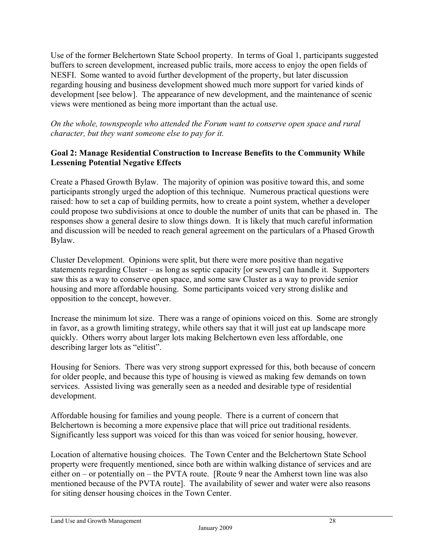Use of the former Belchertown State School property. In terms of Goal 1, participants suggested buffers to screen development, increased public trails, more access to enjoy the open fields of NESFI. Some wanted to avoid further development of the property, but later discussion regarding housing and business development showed much more support for varied kinds of development [see below]. The appearance of new development, and the maintenance of scenic views were mentioned as being more important than the actual use.

*On the whole, townspeople who attended the Forum want to conserve open space and rural character, but they want someone else to pay for it.*

## **Goal 2: Manage Residential Construction to Increase Benefits to the Community While Lessening Potential Negative Effects**

Create a Phased Growth Bylaw. The majority of opinion was positive toward this, and some participants strongly urged the adoption of this technique. Numerous practical questions were raised: how to set a cap of building permits, how to create a point system, whether a developer could propose two subdivisions at once to double the number of units that can be phased in. The responses show a general desire to slow things down. It is likely that much careful information and discussion will be needed to reach general agreement on the particulars of a Phased Growth Bylaw.

Cluster Development. Opinions were split, but there were more positive than negative statements regarding Cluster – as long as septic capacity [or sewers] can handle it. Supporters saw this as a way to conserve open space, and some saw Cluster as a way to provide senior housing and more affordable housing. Some participants voiced very strong dislike and opposition to the concept, however.

Increase the minimum lot size. There was a range of opinions voiced on this. Some are strongly in favor, as a growth limiting strategy, while others say that it will just eat up landscape more quickly. Others worry about larger lots making Belchertown even less affordable, one describing larger lots as "elitist".

Housing for Seniors. There was very strong support expressed for this, both because of concern for older people, and because this type of housing is viewed as making few demands on town services. Assisted living was generally seen as a needed and desirable type of residential development.

Affordable housing for families and young people. There is a current of concern that Belchertown is becoming a more expensive place that will price out traditional residents. Significantly less support was voiced for this than was voiced for senior housing, however.

Location of alternative housing choices. The Town Center and the Belchertown State School property were frequently mentioned, since both are within walking distance of services and are either on – or potentially on – the PVTA route. [Route 9 near the Amherst town line was also mentioned because of the PVTA route]. The availability of sewer and water were also reasons for siting denser housing choices in the Town Center.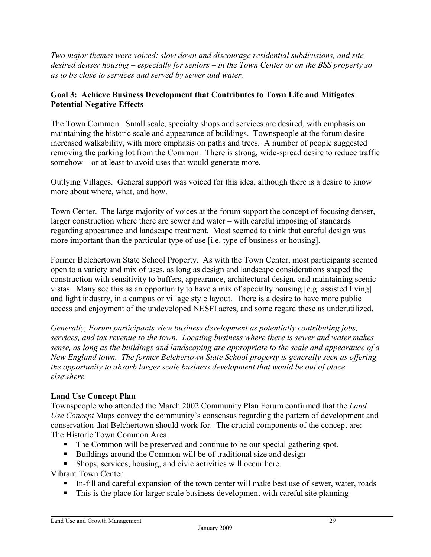*Two major themes were voiced: slow down and discourage residential subdivisions, and site desired denser housing – especially for seniors – in the Town Center or on the BSS property so as to be close to services and served by sewer and water.*

## **Goal 3: Achieve Business Development that Contributes to Town Life and Mitigates Potential Negative Effects**

The Town Common. Small scale, specialty shops and services are desired, with emphasis on maintaining the historic scale and appearance of buildings. Townspeople at the forum desire increased walkability, with more emphasis on paths and trees. A number of people suggested removing the parking lot from the Common. There is strong, wide-spread desire to reduce traffic somehow – or at least to avoid uses that would generate more.

Outlying Villages. General support was voiced for this idea, although there is a desire to know more about where, what, and how.

Town Center. The large majority of voices at the forum support the concept of focusing denser, larger construction where there are sewer and water – with careful imposing of standards regarding appearance and landscape treatment. Most seemed to think that careful design was more important than the particular type of use [i.e. type of business or housing].

Former Belchertown State School Property. As with the Town Center, most participants seemed open to a variety and mix of uses, as long as design and landscape considerations shaped the construction with sensitivity to buffers, appearance, architectural design, and maintaining scenic vistas. Many see this as an opportunity to have a mix of specialty housing [e.g. assisted living] and light industry, in a campus or village style layout. There is a desire to have more public access and enjoyment of the undeveloped NESFI acres, and some regard these as underutilized.

*Generally, Forum participants view business development as potentially contributing jobs, services, and tax revenue to the town. Locating business where there is sewer and water makes sense, as long as the buildings and landscaping are appropriate to the scale and appearance of a New England town. The former Belchertown State School property is generally seen as offering the opportunity to absorb larger scale business development that would be out of place elsewhere.* 

## **Land Use Concept Plan**

Townspeople who attended the March 2002 Community Plan Forum confirmed that the *Land Use Concept* Maps convey the community's consensus regarding the pattern of development and conservation that Belchertown should work for. The crucial components of the concept are: The Historic Town Common Area.

- The Common will be preserved and continue to be our special gathering spot.
- Buildings around the Common will be of traditional size and design
- Shops, services, housing, and civic activities will occur here.

# Vibrant Town Center

- In-fill and careful expansion of the town center will make best use of sewer, water, roads
- This is the place for larger scale business development with careful site planning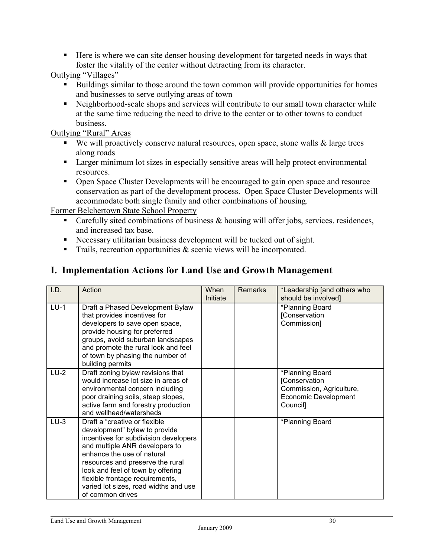Here is where we can site denser housing development for targeted needs in ways that foster the vitality of the center without detracting from its character.

Outlying "Villages"

- Buildings similar to those around the town common will provide opportunities for homes and businesses to serve outlying areas of town
- Neighborhood-scale shops and services will contribute to our small town character while at the same time reducing the need to drive to the center or to other towns to conduct business.

Outlying "Rural" Areas

- $\blacksquare$  We will proactively conserve natural resources, open space, stone walls  $\&$  large trees along roads
- **Larger minimum lot sizes in especially sensitive areas will help protect environmental** resources.
- Open Space Cluster Developments will be encouraged to gain open space and resource conservation as part of the development process. Open Space Cluster Developments will accommodate both single family and other combinations of housing.

Former Belchertown State School Property

- Carefully sited combinations of business & housing will offer jobs, services, residences, and increased tax base.
- Necessary utilitarian business development will be tucked out of sight.
- $\blacksquare$  Trails, recreation opportunities & scenic views will be incorporated.

# **I. Implementation Actions for Land Use and Growth Management**

| I.D.   | Action                                                                                                                                                                                                                                                                                                                                            | When<br>Initiate | <b>Remarks</b> | *Leadership [and others who<br>should be involved]                                                      |
|--------|---------------------------------------------------------------------------------------------------------------------------------------------------------------------------------------------------------------------------------------------------------------------------------------------------------------------------------------------------|------------------|----------------|---------------------------------------------------------------------------------------------------------|
| $LU-1$ | Draft a Phased Development Bylaw<br>that provides incentives for<br>developers to save open space,<br>provide housing for preferred<br>groups, avoid suburban landscapes<br>and promote the rural look and feel<br>of town by phasing the number of<br>building permits                                                                           |                  |                | *Planning Board<br>[Conservation<br>Commission]                                                         |
| $LU-2$ | Draft zoning bylaw revisions that<br>would increase lot size in areas of<br>environmental concern including<br>poor draining soils, steep slopes,<br>active farm and forestry production<br>and wellhead/watersheds                                                                                                                               |                  |                | *Planning Board<br>[Conservation<br>Commission, Agriculture,<br><b>Economic Development</b><br>Council] |
| $LU-3$ | Draft a "creative or flexible"<br>development" bylaw to provide<br>incentives for subdivision developers<br>and multiple ANR developers to<br>enhance the use of natural<br>resources and preserve the rural<br>look and feel of town by offering<br>flexible frontage requirements,<br>varied lot sizes, road widths and use<br>of common drives |                  |                | *Planning Board                                                                                         |